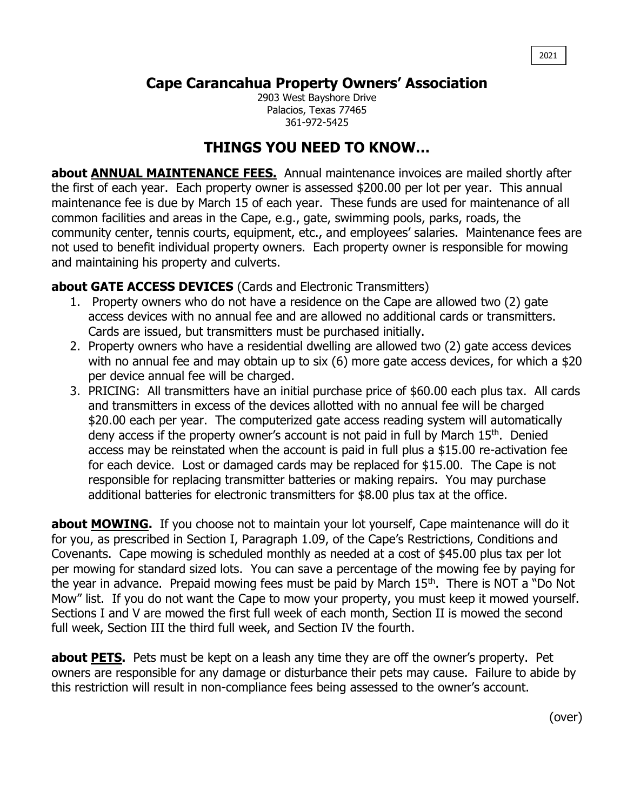## **Cape Carancahua Property Owners' Association**

2903 West Bayshore Drive Palacios, Texas 77465 361-972-5425

## **THINGS YOU NEED TO KNOW…**

**about ANNUAL MAINTENANCE FEES.** Annual maintenance invoices are mailed shortly after the first of each year. Each property owner is assessed \$200.00 per lot per year. This annual maintenance fee is due by March 15 of each year. These funds are used for maintenance of all common facilities and areas in the Cape, e.g., gate, swimming pools, parks, roads, the community center, tennis courts, equipment, etc., and employees' salaries. Maintenance fees are not used to benefit individual property owners. Each property owner is responsible for mowing and maintaining his property and culverts.

## **about GATE ACCESS DEVICES** (Cards and Electronic Transmitters)

- 1. Property owners who do not have a residence on the Cape are allowed two (2) gate access devices with no annual fee and are allowed no additional cards or transmitters. Cards are issued, but transmitters must be purchased initially.
- 2. Property owners who have a residential dwelling are allowed two (2) gate access devices with no annual fee and may obtain up to six (6) more gate access devices, for which a \$20 per device annual fee will be charged.
- 3. PRICING: All transmitters have an initial purchase price of \$60.00 each plus tax. All cards and transmitters in excess of the devices allotted with no annual fee will be charged \$20.00 each per year. The computerized gate access reading system will automatically deny access if the property owner's account is not paid in full by March 15<sup>th</sup>. Denied access may be reinstated when the account is paid in full plus a \$15.00 re-activation fee for each device. Lost or damaged cards may be replaced for \$15.00. The Cape is not responsible for replacing transmitter batteries or making repairs. You may purchase additional batteries for electronic transmitters for \$8.00 plus tax at the office.

**about MOWING.** If you choose not to maintain your lot yourself, Cape maintenance will do it for you, as prescribed in Section I, Paragraph 1.09, of the Cape's Restrictions, Conditions and Covenants. Cape mowing is scheduled monthly as needed at a cost of \$45.00 plus tax per lot per mowing for standard sized lots. You can save a percentage of the mowing fee by paying for the year in advance. Prepaid mowing fees must be paid by March 15<sup>th</sup>. There is NOT a "Do Not Mow" list. If you do not want the Cape to mow your property, you must keep it mowed yourself. Sections I and V are mowed the first full week of each month, Section II is mowed the second full week, Section III the third full week, and Section IV the fourth.

**about PETS.** Pets must be kept on a leash any time they are off the owner's property. Pet owners are responsible for any damage or disturbance their pets may cause. Failure to abide by this restriction will result in non-compliance fees being assessed to the owner's account.

(over)